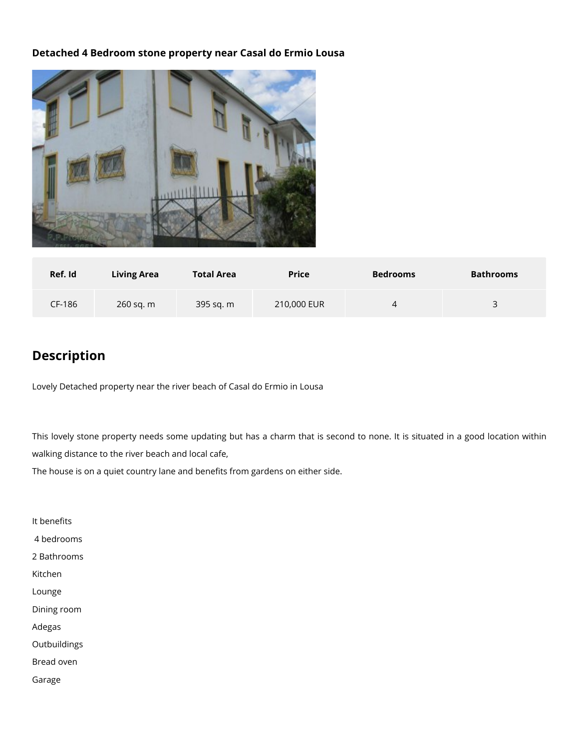## **Detached 4 Bedroom stone property near Casal do Ermio Lousa**



| Ref. Id | <b>Living Area</b> | <b>Total Area</b> | <b>Price</b> | <b>Bedrooms</b> | <b>Bathrooms</b> |
|---------|--------------------|-------------------|--------------|-----------------|------------------|
| CF-186  | 260 sq. m          | 395 sq. m         | 210,000 EUR  | 4               | 3<br>ັ           |

## **Description**

Lovely Detached property near the river beach of Casal do Ermio in Lousa

This lovely stone property needs some updating but has a charm that is second to none. It is situated in a good location within walking distance to the river beach and local cafe,

The house is on a quiet country lane and benefits from gardens on either side.

It benefits 4 bedrooms 2 Bathrooms Kitchen Lounge Dining room Adegas **Outbuildings** Bread oven Garage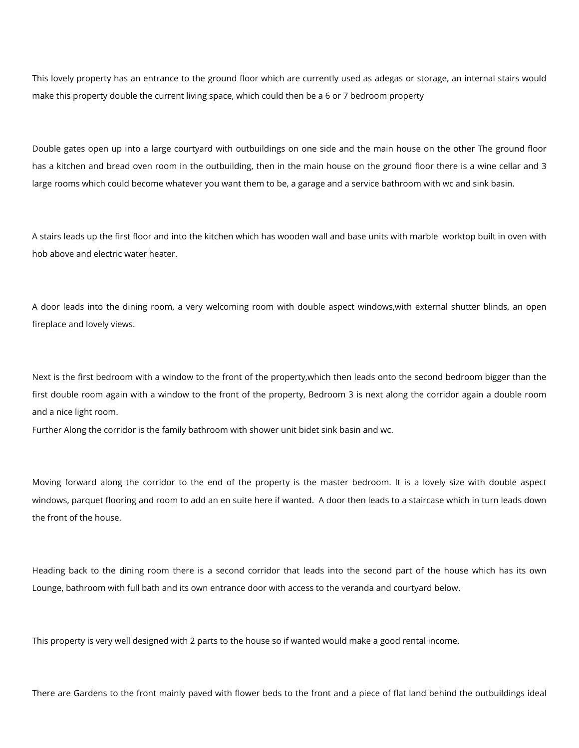This lovely property has an entrance to the ground floor which are currently used as adegas or storage, an internal stairs would make this property double the current living space, which could then be a 6 or 7 bedroom property

Double gates open up into a large courtyard with outbuildings on one side and the main house on the other The ground floor has a kitchen and bread oven room in the outbuilding, then in the main house on the ground floor there is a wine cellar and 3 large rooms which could become whatever you want them to be, a garage and a service bathroom with wc and sink basin.

A stairs leads up the first floor and into the kitchen which has wooden wall and base units with marble worktop built in oven with hob above and electric water heater.

A door leads into the dining room, a very welcoming room with double aspect windows,with external shutter blinds, an open fireplace and lovely views.

Next is the first bedroom with a window to the front of the property,which then leads onto the second bedroom bigger than the first double room again with a window to the front of the property, Bedroom 3 is next along the corridor again a double room and a nice light room.

Further Along the corridor is the family bathroom with shower unit bidet sink basin and wc.

Moving forward along the corridor to the end of the property is the master bedroom. It is a lovely size with double aspect windows, parquet flooring and room to add an en suite here if wanted. A door then leads to a staircase which in turn leads down the front of the house.

Heading back to the dining room there is a second corridor that leads into the second part of the house which has its own Lounge, bathroom with full bath and its own entrance door with access to the veranda and courtyard below.

This property is very well designed with 2 parts to the house so if wanted would make a good rental income.

There are Gardens to the front mainly paved with flower beds to the front and a piece of flat land behind the outbuildings ideal